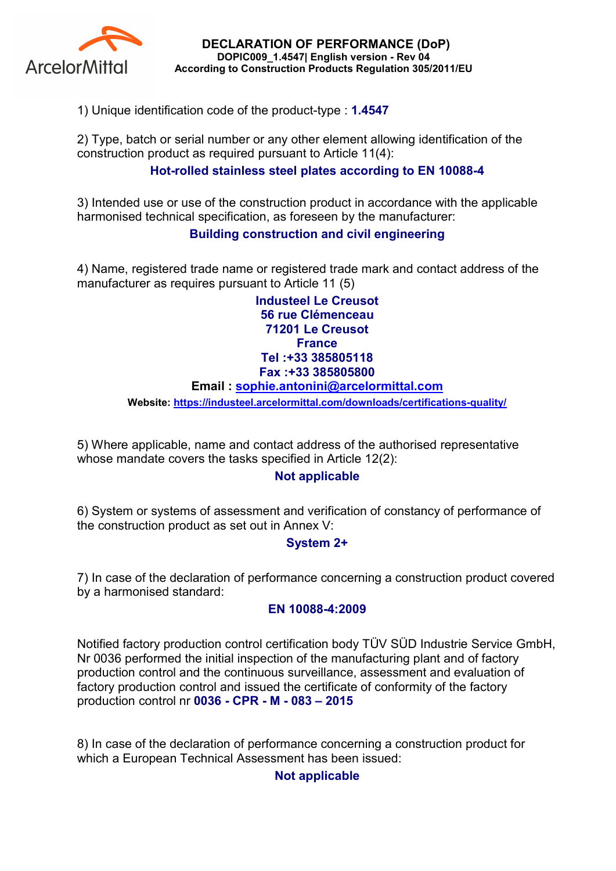

DECLARATION OF PERFORMANCE (DoP) DOPIC009\_1.4547| English version - Rev 04 According to Construction Products Regulation 305/2011/EU

1) Unique identification code of the product-type : 1.4547

2) Type, batch or serial number or any other element allowing identification of the construction product as required pursuant to Article 11(4):

# Hot-rolled stainless steel plates according to EN 10088-4

3) Intended use or use of the construction product in accordance with the applicable harmonised technical specification, as foreseen by the manufacturer:

## Building construction and civil engineering

4) Name, registered trade name or registered trade mark and contact address of the manufacturer as requires pursuant to Article 11 (5)

> Industeel Le Creusot 56 rue Clémenceau 71201 Le Creusot **France** Tel :+33 385805118 Fax :+33 385805800

#### Email : sophie.antonini@arcelormittal.com

Website: https://industeel.arcelormittal.com/downloads/certifications-quality/

5) Where applicable, name and contact address of the authorised representative whose mandate covers the tasks specified in Article 12(2):

## Not applicable

6) System or systems of assessment and verification of constancy of performance of the construction product as set out in Annex V:

## System 2+

7) In case of the declaration of performance concerning a construction product covered by a harmonised standard:

#### EN 10088-4:2009

Notified factory production control certification body TÜV SÜD Industrie Service GmbH, Nr 0036 performed the initial inspection of the manufacturing plant and of factory production control and the continuous surveillance, assessment and evaluation of factory production control and issued the certificate of conformity of the factory production control nr 0036 - CPR - M - 083 – 2015

8) In case of the declaration of performance concerning a construction product for which a European Technical Assessment has been issued:

## Not applicable